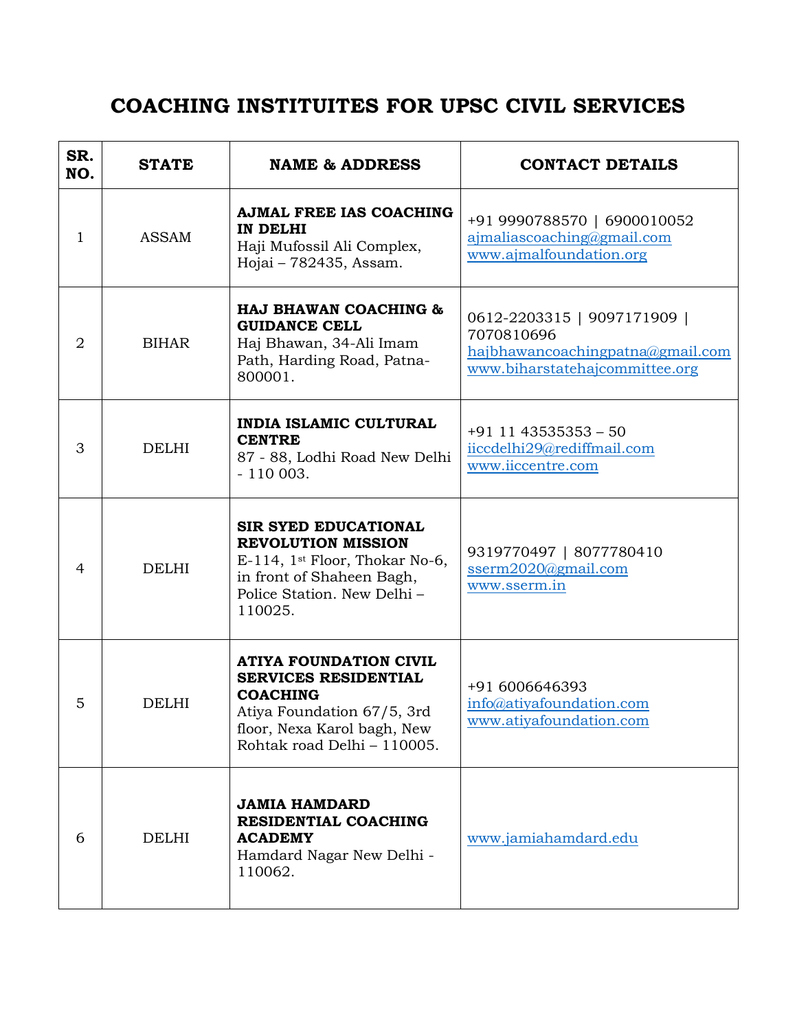## **COACHING INSTITUITES FOR UPSC CIVIL SERVICES**

| SR.<br>NO.     | <b>STATE</b> | <b>NAME &amp; ADDRESS</b>                                                                                                                                                   | <b>CONTACT DETAILS</b>                                                                                          |
|----------------|--------------|-----------------------------------------------------------------------------------------------------------------------------------------------------------------------------|-----------------------------------------------------------------------------------------------------------------|
| 1              | <b>ASSAM</b> | <b>AJMAL FREE IAS COACHING</b><br>IN DELHI<br>Haji Mufossil Ali Complex,<br>Hojai - 782435, Assam.                                                                          | +91 9990788570   6900010052<br>ajmaliascoaching@gmail.com<br>www.ajmalfoundation.org                            |
| $\overline{2}$ | <b>BIHAR</b> | HAJ BHAWAN COACHING &<br><b>GUIDANCE CELL</b><br>Haj Bhawan, 34-Ali Imam<br>Path, Harding Road, Patna-<br>800001.                                                           | 0612-2203315   9097171909  <br>7070810696<br>hajbhawancoachingpatna@gmail.com<br>www.biharstatehajcommittee.org |
| 3              | <b>DELHI</b> | <b>INDIA ISLAMIC CULTURAL</b><br><b>CENTRE</b><br>87 - 88, Lodhi Road New Delhi<br>$-110003.$                                                                               | $+91$ 11 43535353 - 50<br>iiccdelhi29@rediffmail.com<br>www.iiccentre.com                                       |
| $\overline{4}$ | <b>DELHI</b> | <b>SIR SYED EDUCATIONAL</b><br><b>REVOLUTION MISSION</b><br>E-114, 1st Floor, Thokar No-6,<br>in front of Shaheen Bagh,<br>Police Station. New Delhi -<br>110025.           | 9319770497   8077780410<br>sserm2020@gmail.com<br>www.sserm.in                                                  |
| 5              | <b>DELHI</b> | <b>ATIYA FOUNDATION CIVIL</b><br><b>SERVICES RESIDENTIAL</b><br><b>COACHING</b><br>Atiya Foundation 67/5, 3rd<br>floor, Nexa Karol bagh, New<br>Rohtak road Delhi - 110005. | +91 6006646393<br>info@atiyafoundation.com<br>www.atiyafoundation.com                                           |
| 6              | <b>DELHI</b> | <b>JAMIA HAMDARD</b><br><b>RESIDENTIAL COACHING</b><br><b>ACADEMY</b><br>Hamdard Nagar New Delhi -<br>110062.                                                               | www.jamiahamdard.edu                                                                                            |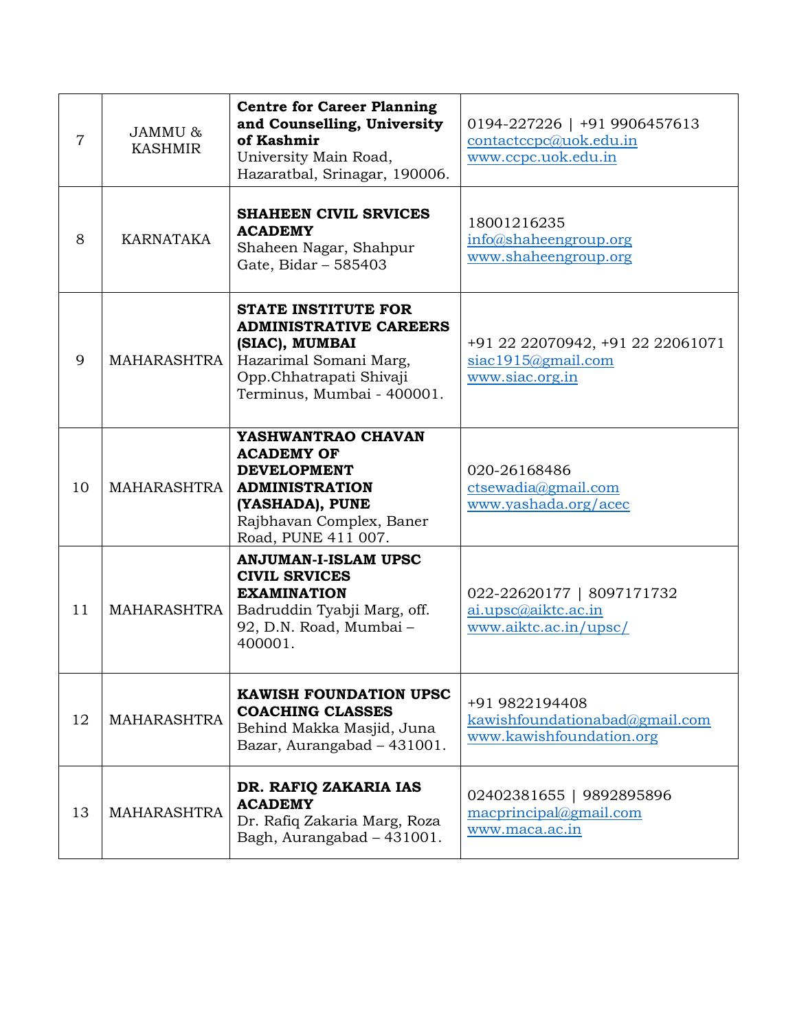| 7  | JAMMU &<br><b>KASHMIR</b> | <b>Centre for Career Planning</b><br>and Counselling, University<br>of Kashmir<br>University Main Road,<br>Hazaratbal, Srinagar, 190006.                         | 0194-227226   +91 9906457613<br>contact copc@uok.edu.in<br>www.ccpc.uok.edu.in |
|----|---------------------------|------------------------------------------------------------------------------------------------------------------------------------------------------------------|--------------------------------------------------------------------------------|
| 8  | <b>KARNATAKA</b>          | <b>SHAHEEN CIVIL SRVICES</b><br><b>ACADEMY</b><br>Shaheen Nagar, Shahpur<br>Gate, Bidar - 585403                                                                 | 18001216235<br>info@shaheengroup.org<br>www.shaheengroup.org                   |
| 9  | MAHARASHTRA               | <b>STATE INSTITUTE FOR</b><br><b>ADMINISTRATIVE CAREERS</b><br>(SIAC), MUMBAI<br>Hazarimal Somani Marg,<br>Opp.Chhatrapati Shivaji<br>Terminus, Mumbai - 400001. | +91 22 22070942, +91 22 22061071<br>siac1915@gmail.com<br>www.siac.org.in      |
| 10 | MAHARASHTRA               | YASHWANTRAO CHAVAN<br><b>ACADEMY OF</b><br><b>DEVELOPMENT</b><br><b>ADMINISTRATION</b><br>(YASHADA), PUNE<br>Rajbhavan Complex, Baner<br>Road, PUNE 411 007.     | 020-26168486<br>$ctsewadia(\theta)$ gmail.com<br>www.yashada.org/acec          |
| 11 | MAHARASHTRA               | <b>ANJUMAN-I-ISLAM UPSC</b><br><b>CIVIL SRVICES</b><br><b>EXAMINATION</b><br>Badruddin Tyabji Marg, off.<br>92, D.N. Road, Mumbai-<br>400001.                    | 022-22620177   8097171732<br>ai.upsc@aiktc.ac.in<br>www.aiktc.ac.in/upsc/      |
| 12 | <b>MAHARASHTRA</b>        | <b>KAWISH FOUNDATION UPSC</b><br><b>COACHING CLASSES</b><br>Behind Makka Masjid, Juna<br>Bazar, Aurangabad - 431001.                                             | +91 9822194408<br>kawishfoundationabad@gmail.com<br>www.kawishfoundation.org   |
| 13 | <b>MAHARASHTRA</b>        | DR. RAFIQ ZAKARIA IAS<br><b>ACADEMY</b><br>Dr. Rafiq Zakaria Marg, Roza<br>Bagh, Aurangabad - 431001.                                                            | 02402381655   9892895896<br>macprincipal@gmail.com<br>www.maca.ac.in           |